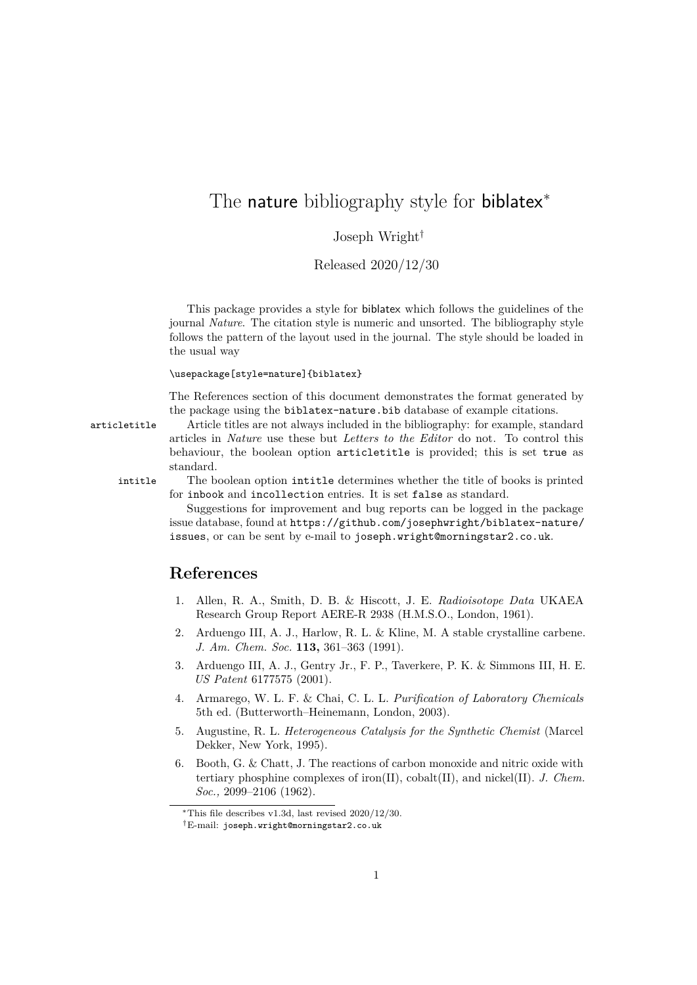# The nature bibliography style for **biblatex**<sup>\*</sup>

### Joseph Wright†

Released 2020/12/30

This package provides a style for biblatex which follows the guidelines of the journal *Nature*. The citation style is numeric and unsorted. The bibliography style follows the pattern of the layout used in the journal. The style should be loaded in the usual way

#### \usepackage[style=nature]{biblatex}

The References section of this document demonstrates the format generated by the package using the biblatex-nature.bib database of example citations.

articletitle Article titles are not always included in the bibliography: for example, standard articles in *Nature* use these but *Letters to the Editor* do not. To control this behaviour, the boolean option articletitle is provided; this is set true as standard.

intitle The boolean option intitle determines whether the title of books is printed for inbook and incollection entries. It is set false as standard.

> Suggestions for improvement and bug reports can be logged in the package issue database, found at [https://github.com/josephwright/biblatex-nature/](https://github.com/josephwright/biblatex-nature/issues) [issues](https://github.com/josephwright/biblatex-nature/issues), or can be sent by e-mail to [joseph.wright@morningstar2.co.uk](mailto:joseph.wright@morningstar2.co.uk).

### **References**

- 1. Allen, R. A., Smith, D. B. & Hiscott, J. E. *Radioisotope Data* UKAEA Research Group Report AERE-R 2938 (H.M.S.O., London, 1961).
- 2. Arduengo III, A. J., Harlow, R. L. & Kline, M. A stable crystalline carbene. *J. Am. Chem. Soc.* **113,** 361–363 (1991).
- 3. Arduengo III, A. J., Gentry Jr., F. P., Taverkere, P. K. & Simmons III, H. E. *US Patent* 6177575 (2001).
- 4. Armarego, W. L. F. & Chai, C. L. L. *Purification of Laboratory Chemicals* 5th ed. (Butterworth–Heinemann, London, 2003).
- 5. Augustine, R. L. *Heterogeneous Catalysis for the Synthetic Chemist* (Marcel Dekker, New York, 1995).
- 6. Booth, G. & Chatt, J. The reactions of carbon monoxide and nitric oxide with tertiary phosphine complexes of iron(II), cobalt(II), and nickel(II). *J. Chem. Soc.,* 2099–2106 (1962).

<sup>∗</sup>This file describes v1.3d, last revised 2020/12/30.

<sup>†</sup>E-mail: [joseph.wright@morningstar2.co.uk](mailto:joseph.wright@morningstar2.co.uk)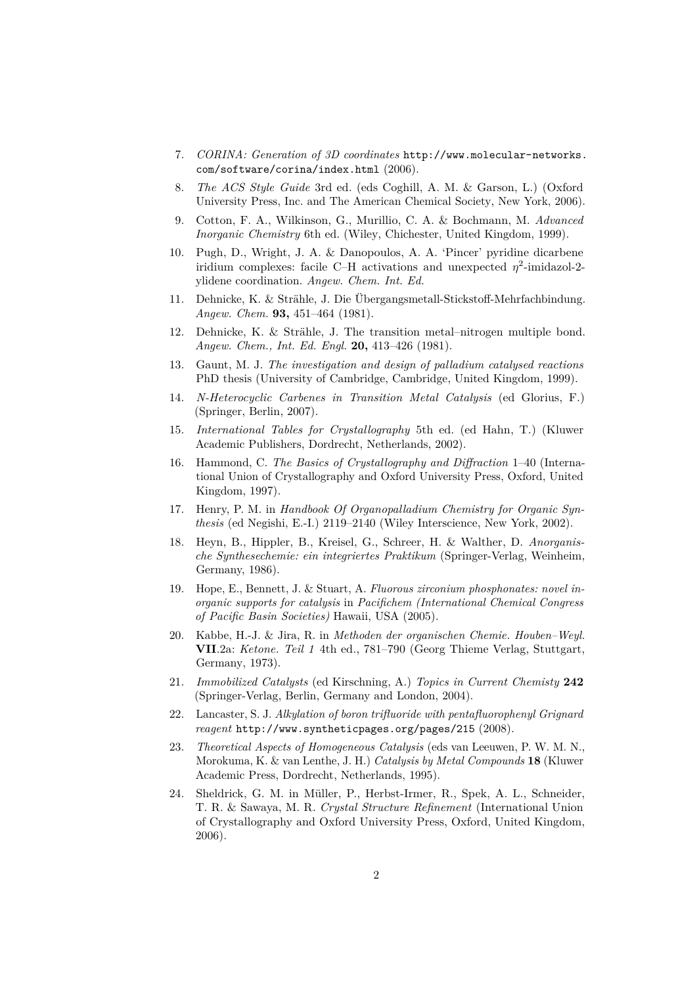- 7. *CORINA: Generation of 3D coordinates* [http://www.molecular-networks.](http://www.molecular-networks.com/software/corina/index.html) [com/software/corina/index.html](http://www.molecular-networks.com/software/corina/index.html) (2006).
- 8. *The ACS Style Guide* 3rd ed. (eds Coghill, A. M. & Garson, L.) (Oxford University Press, Inc. and The American Chemical Society, New York, 2006).
- 9. Cotton, F. A., Wilkinson, G., Murillio, C. A. & Bochmann, M. *Advanced Inorganic Chemistry* 6th ed. (Wiley, Chichester, United Kingdom, 1999).
- 10. Pugh, D., Wright, J. A. & Danopoulos, A. A. 'Pincer' pyridine dicarbene iridium complexes: facile C–H activations and unexpected  $\eta^2$ -imidazol-2ylidene coordination. *Angew. Chem. Int. Ed.*
- 11. Dehnicke, K. & Strähle, J. Die Übergangsmetall-Stickstoff-Mehrfachbindung. *Angew. Chem.* **93,** 451–464 (1981).
- 12. Dehnicke, K. & Strähle, J. The transition metal–nitrogen multiple bond. *Angew. Chem., Int. Ed. Engl.* **20,** 413–426 (1981).
- 13. Gaunt, M. J. *The investigation and design of palladium catalysed reactions* PhD thesis (University of Cambridge, Cambridge, United Kingdom, 1999).
- 14. *N-Heterocyclic Carbenes in Transition Metal Catalysis* (ed Glorius, F.) (Springer, Berlin, 2007).
- 15. *International Tables for Crystallography* 5th ed. (ed Hahn, T.) (Kluwer Academic Publishers, Dordrecht, Netherlands, 2002).
- 16. Hammond, C. *The Basics of Crystallography and Diffraction* 1–40 (International Union of Crystallography and Oxford University Press, Oxford, United Kingdom, 1997).
- 17. Henry, P. M. in *Handbook Of Organopalladium Chemistry for Organic Synthesis* (ed Negishi, E.-I.) 2119–2140 (Wiley Interscience, New York, 2002).
- 18. Heyn, B., Hippler, B., Kreisel, G., Schreer, H. & Walther, D. *Anorganische Synthesechemie: ein integriertes Praktikum* (Springer-Verlag, Weinheim, Germany, 1986).
- 19. Hope, E., Bennett, J. & Stuart, A. *Fluorous zirconium phosphonates: novel inorganic supports for catalysis* in *Pacifichem (International Chemical Congress of Pacific Basin Societies)* Hawaii, USA (2005).
- 20. Kabbe, H.-J. & Jira, R. in *Methoden der organischen Chemie. Houben–Weyl.* **VII**.2a: *Ketone. Teil 1* 4th ed., 781–790 (Georg Thieme Verlag, Stuttgart, Germany, 1973).
- 21. *Immobilized Catalysts* (ed Kirschning, A.) *Topics in Current Chemisty* **242** (Springer-Verlag, Berlin, Germany and London, 2004).
- 22. Lancaster, S. J. *Alkylation of boron trifluoride with pentafluorophenyl Grignard reagent* <http://www.syntheticpages.org/pages/215> (2008).
- 23. *Theoretical Aspects of Homogeneous Catalysis* (eds van Leeuwen, P. W. M. N., Morokuma, K. & van Lenthe, J. H.) *Catalysis by Metal Compounds* **18** (Kluwer Academic Press, Dordrecht, Netherlands, 1995).
- 24. Sheldrick, G. M. in Müller, P., Herbst-Irmer, R., Spek, A. L., Schneider, T. R. & Sawaya, M. R. *Crystal Structure Refinement* (International Union of Crystallography and Oxford University Press, Oxford, United Kingdom, 2006).